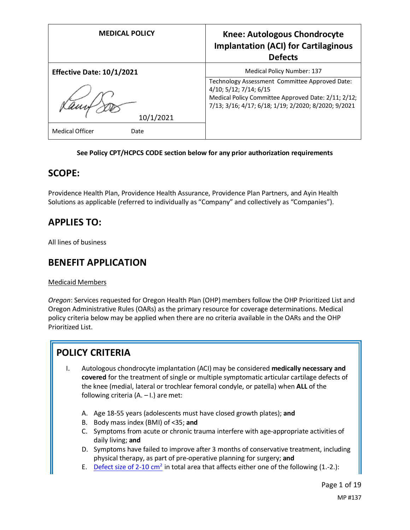| <b>MEDICAL POLICY</b>            | <b>Knee: Autologous Chondrocyte</b><br><b>Implantation (ACI) for Cartilaginous</b><br><b>Defects</b>                                                                                    |
|----------------------------------|-----------------------------------------------------------------------------------------------------------------------------------------------------------------------------------------|
| <b>Effective Date: 10/1/2021</b> | <b>Medical Policy Number: 137</b>                                                                                                                                                       |
| 10/1/2021                        | Technology Assessment Committee Approved Date:<br>4/10; 5/12; 7/14; 6/15<br>Medical Policy Committee Approved Date: 2/11; 2/12;<br>7/13; 3/16; 4/17; 6/18; 1/19; 2/2020; 8/2020; 9/2021 |
| <b>Medical Officer</b><br>Date   |                                                                                                                                                                                         |

#### **See Policy CPT/HCPCS CODE section below for any prior authorization requirements**

### **SCOPE:**

Providence Health Plan, Providence Health Assurance, Providence Plan Partners, and Ayin Health Solutions as applicable (referred to individually as "Company" and collectively as "Companies").

## **APPLIES TO:**

All lines of business

### **BENEFIT APPLICATION**

#### Medicaid Members

*Oregon*: Services requested for Oregon Health Plan (OHP) members follow the OHP Prioritized List and Oregon Administrative Rules (OARs) as the primary resource for coverage determinations. Medical policy criteria below may be applied when there are no criteria available in the OARs and the OHP Prioritized List.

# **POLICY CRITERIA**

- I. Autologous chondrocyte implantation (ACI) may be considered **medically necessary and covered** for the treatment of single or multiple symptomatic articular cartilage defects of the knee (medial, lateral or trochlear femoral condyle, or patella) when **ALL** of the following criteria  $(A. - I.)$  are met:
	- A. Age 18-55 years (adolescents must have closed growth plates); **and**
	- B. Body mass index (BMI) of <35; **and**
	- C. Symptoms from acute or chronic trauma interfere with age-appropriate activities of daily living; **and**
	- D. Symptoms have failed to improve after 3 months of conservative treatment, including physical therapy, as part of pre-operative planning for surgery; **and**
	- E. [Defect size of 2-10](#page-7-0) cm<sup>2</sup> in total area that affects either one of the following (1.-2.):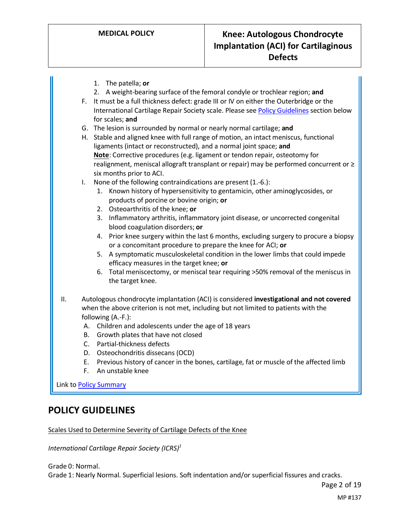1. The patella; **or** 2. A weight-bearing surface of the femoral condyle or trochlear region; **and** F. It must be a full thickness defect: grade III or IV on either the Outerbridge or the International Cartilage Repair Society scale. Please se[e Policy Guidelines](#page-1-0) section below for scales; **and** G. The lesion is surrounded by normal or nearly normal cartilage; **and** H. Stable and aligned knee with full range of motion, an intact meniscus, functional ligaments (intact or reconstructed), and a normal joint space; **and Note**: Corrective procedures (e.g. ligament or tendon repair, osteotomy for realignment, meniscal allograft transplant or repair) may be performed concurrent or ≥ six months prior to ACI. I. None of the following contraindications are present (1.-6.): 1. Known history of hypersensitivity to gentamicin, other aminoglycosides, or products of porcine or bovine origin; **or** 2. Osteoarthritis of the knee; **or** 3. Inflammatory arthritis, inflammatory joint disease, or uncorrected congenital blood coagulation disorders; **or** 4. Prior knee surgery within the last 6 months, excluding surgery to procure a biopsy or a concomitant procedure to prepare the knee for ACI; **or** 5. A symptomatic musculoskeletal condition in the lower limbs that could impede efficacy measures in the target knee; **or** 6. Total meniscectomy, or meniscal tear requiring >50% removal of the meniscus in the target knee. II. Autologous chondrocyte implantation (ACI) is considered **investigational and not covered** when the above criterion is not met, including but not limited to patients with the following (A.-F.): A. Children and adolescents under the age of 18 years B. Growth plates that have not closed C. Partial-thickness defects D. Osteochondritis dissecans (OCD) E. Previous history of cancer in the bones, cartilage, fat or muscle of the affected limb F. An unstable knee

Link t[o Policy Summary](#page-12-0)

### <span id="page-1-0"></span>**POLICY GUIDELINES**

Scales Used to Determine Severity of Cartilage Defects of the Knee

*International Cartilage Repair Society (ICRS)1*

Grade 0: Normal.

Grade 1: Nearly Normal. Superficial lesions. Soft indentation and/or superficial fissures and cracks.

Page 2 of 19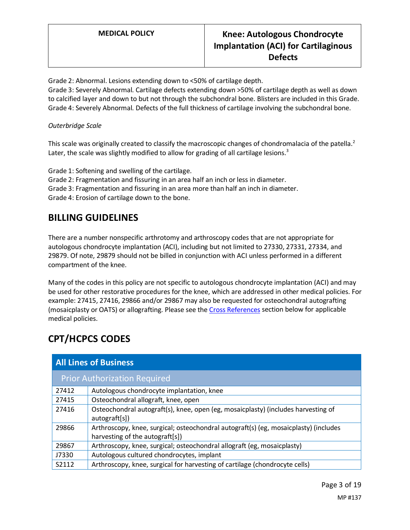### **MEDICAL POLICY Knee: Autologous Chondrocyte Implantation (ACI) for Cartilaginous Defects**

Grade 2: Abnormal. Lesions extending down to <50% of cartilage depth.

Grade 3: Severely Abnormal. Cartilage defects extending down >50% of cartilage depth as well as down to calcified layer and down to but not through the subchondral bone. Blisters are included in this Grade. Grade 4: Severely Abnormal. Defects of the full thickness of cartilage involving the subchondral bone.

#### *Outerbridge Scale*

This scale was originally created to classify the macroscopic changes of chondromalacia of the patella.<sup>2</sup> Later, the scale was slightly modified to allow for grading of all cartilage lesions. $3$ 

Grade 1: Softening and swelling of the cartilage.

Grade 2: Fragmentation and fissuring in an area half an inch or less in diameter.

Grade 3: Fragmentation and fissuring in an area more than half an inch in diameter.

Grade 4: Erosion of cartilage down to the bone.

## **BILLING GUIDELINES**

There are a number nonspecific arthrotomy and arthroscopy codes that are not appropriate for autologous chondrocyte implantation (ACI), including but not limited to 27330, 27331, 27334, and 29879. Of note, 29879 should not be billed in conjunction with ACI unless performed in a different compartment of the knee.

Many of the codes in this policy are not specific to autologous chondrocyte implantation (ACI) and may be used for other restorative procedures for the knee, which are addressed in other medical policies. For example: 27415, 27416, 29866 and/or 29867 may also be requested for osteochondral autografting (mosaicplasty or OATS) or allografting. Please see th[e Cross References](#page-14-0) section below for applicable medical policies.

# **CPT/HCPCS CODES**

| <b>All Lines of Business</b>        |                                                                                                                         |
|-------------------------------------|-------------------------------------------------------------------------------------------------------------------------|
| <b>Prior Authorization Required</b> |                                                                                                                         |
| 27412                               | Autologous chondrocyte implantation, knee                                                                               |
| 27415                               | Osteochondral allograft, knee, open                                                                                     |
| 27416                               | Osteochondral autograft(s), knee, open (eg, mosaicplasty) (includes harvesting of<br>autograft[s])                      |
| 29866                               | Arthroscopy, knee, surgical; osteochondral autograft(s) (eg, mosaicplasty) (includes<br>harvesting of the autograft[s]) |
| 29867                               | Arthroscopy, knee, surgical; osteochondral allograft (eg, mosaicplasty)                                                 |
| J7330                               | Autologous cultured chondrocytes, implant                                                                               |
| S2112                               | Arthroscopy, knee, surgical for harvesting of cartilage (chondrocyte cells)                                             |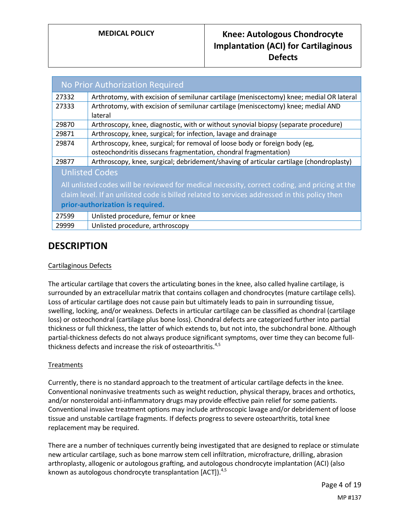| No Prior Authorization Required                                                               |                                                                                         |
|-----------------------------------------------------------------------------------------------|-----------------------------------------------------------------------------------------|
| 27332                                                                                         | Arthrotomy, with excision of semilunar cartilage (meniscectomy) knee; medial OR lateral |
| 27333                                                                                         | Arthrotomy, with excision of semilunar cartilage (meniscectomy) knee; medial AND        |
|                                                                                               | lateral                                                                                 |
| 29870                                                                                         | Arthroscopy, knee, diagnostic, with or without synovial biopsy (separate procedure)     |
| 29871                                                                                         | Arthroscopy, knee, surgical; for infection, lavage and drainage                         |
| 29874                                                                                         | Arthroscopy, knee, surgical; for removal of loose body or foreign body (eg,             |
|                                                                                               | osteochondritis dissecans fragmentation, chondral fragmentation)                        |
| 29877                                                                                         | Arthroscopy, knee, surgical; debridement/shaving of articular cartilage (chondroplasty) |
| <b>Unlisted Codes</b>                                                                         |                                                                                         |
| All unlisted codes will be reviewed for medical necessity, correct coding, and pricing at the |                                                                                         |
| claim level. If an unlisted code is billed related to services addressed in this policy then  |                                                                                         |
| prior-authorization is required.                                                              |                                                                                         |
| 27599                                                                                         | Unlisted procedure, femur or knee                                                       |
| 29999                                                                                         | Unlisted procedure, arthroscopy                                                         |

## **DESCRIPTION**

#### Cartilaginous Defects

The articular cartilage that covers the articulating bones in the knee, also called hyaline cartilage, is surrounded by an extracellular matrix that contains collagen and chondrocytes (mature cartilage cells). Loss of articular cartilage does not cause pain but ultimately leads to pain in surrounding tissue, swelling, locking, and/or weakness. Defects in articular cartilage can be classified as chondral (cartilage loss) or osteochondral (cartilage plus bone loss). Chondral defects are categorized further into partial thickness or full thickness, the latter of which extends to, but not into, the subchondral bone. Although partial-thickness defects do not always produce significant symptoms, over time they can become fullthickness defects and increase the risk of osteoarthritis.<sup>4,5</sup>

#### **Treatments**

Currently, there is no standard approach to the treatment of articular cartilage defects in the knee. Conventional noninvasive treatments such as weight reduction, physical therapy, braces and orthotics, and/or nonsteroidal anti-inflammatory drugs may provide effective pain relief for some patients. Conventional invasive treatment options may include arthroscopic lavage and/or debridement of loose tissue and unstable cartilage fragments. If defects progress to severe osteoarthritis, total knee replacement may be required.

There are a number of techniques currently being investigated that are designed to replace or stimulate new articular cartilage, such as bone marrow stem cell infiltration, microfracture, drilling, abrasion arthroplasty, allogenic or autologous grafting, and autologous chondrocyte implantation (ACI) (also known as autologous chondrocyte transplantation [ACT]).<sup>4,5</sup>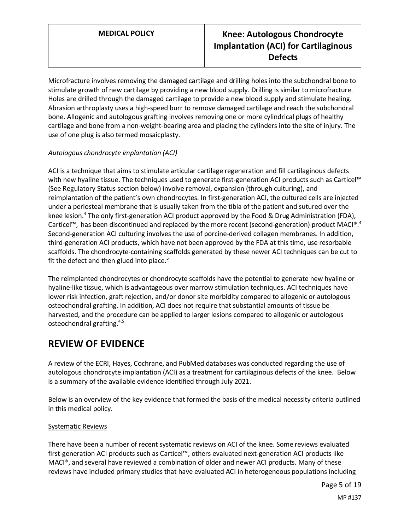## **MEDICAL POLICY Knee: Autologous Chondrocyte Implantation (ACI) for Cartilaginous Defects**

Microfracture involves removing the damaged cartilage and drilling holes into the subchondral bone to stimulate growth of new cartilage by providing a new blood supply. Drilling is similar to microfracture. Holes are drilled through the damaged cartilage to provide a new blood supply and stimulate healing. Abrasion arthroplasty uses a high-speed burr to remove damaged cartilage and reach the subchondral bone. Allogenic and autologous grafting involves removing one or more cylindrical plugs of healthy cartilage and bone from a non-weight-bearing area and placing the cylinders into the site of injury. The use of one plug is also termed mosaicplasty.

#### *Autologous chondrocyte implantation (ACI)*

ACI is a technique that aims to stimulate articular cartilage regeneration and fill cartilaginous defects with new hyaline tissue. The techniques used to generate first-generation ACI products such as Carticel™ (See Regulatory Status section below) involve removal, expansion (through culturing), and reimplantation of the patient's own chondrocytes. In first-generation ACI, the cultured cells are injected under a periosteal membrane that is usually taken from the tibia of the patient and sutured over the knee lesion.<sup>4</sup> The only first-generation ACI product approved by the Food & Drug Administration (FDA), Carticel™, has been discontinued and replaced by the more recent (second-generation) product MACI®.<sup>4</sup> Second-generation ACI culturing involves the use of porcine-derived collagen membranes. In addition, third-generation ACI products, which have not been approved by the FDA at this time, use resorbable scaffolds. The chondrocyte-containing scaffolds generated by these newer ACI techniques can be cut to fit the defect and then glued into place. $5$ 

The reimplanted chondrocytes or chondrocyte scaffolds have the potential to generate new hyaline or hyaline-like tissue, which is advantageous over marrow stimulation techniques. ACI techniques have lower risk infection, graft rejection, and/or donor site morbidity compared to allogenic or autologous osteochondral grafting. In addition, ACI does not require that substantial amounts of tissue be harvested, and the procedure can be applied to larger lesions compared to allogenic or autologous osteochondral grafting.<sup>4,5</sup>

### **REVIEW OF EVIDENCE**

A review of the ECRI, Hayes, Cochrane, and PubMed databases was conducted regarding the use of autologous chondrocyte implantation (ACI) as a treatment for cartilaginous defects of the knee. Below is a summary of the available evidence identified through July 2021.

Below is an overview of the key evidence that formed the basis of the medical necessity criteria outlined in this medical policy.

#### Systematic Reviews

There have been a number of recent systematic reviews on ACI of the knee. Some reviews evaluated first-generation ACI products such as Carticel™, others evaluated next-generation ACI products like MACI®, and several have reviewed a combination of older and newer ACI products. Many of these reviews have included primary studies that have evaluated ACI in heterogeneous populations including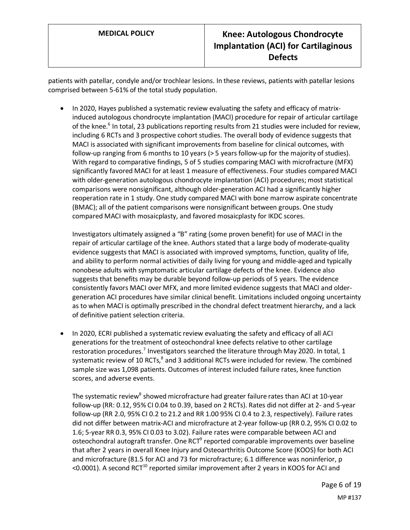patients with patellar, condyle and/or trochlear lesions. In these reviews, patients with patellar lesions comprised between 5-61% of the total study population.

• In 2020, Hayes published a systematic review evaluating the safety and efficacy of matrixinduced autologous chondrocyte implantation (MACI) procedure for repair of articular cartilage of the knee.<sup>6</sup> In total, 23 publications reporting results from 21 studies were included for review, including 6 RCTs and 3 prospective cohort studies. The overall body of evidence suggests that MACI is associated with significant improvements from baseline for clinical outcomes, with follow-up ranging from 6 months to 10 years (> 5 years follow-up for the majority of studies). With regard to comparative findings, 5 of 5 studies comparing MACI with microfracture (MFX) significantly favored MACI for at least 1 measure of effectiveness. Four studies compared MACI with older-generation autologous chondrocyte implantation (ACI) procedures; most statistical comparisons were nonsignificant, although older-generation ACI had a significantly higher reoperation rate in 1 study. One study compared MACI with bone marrow aspirate concentrate (BMAC); all of the patient comparisons were nonsignificant between groups. One study compared MACI with mosaicplasty, and favored mosaicplasty for IKDC scores.

Investigators ultimately assigned a "B" rating (some proven benefit) for use of MACI in the repair of articular cartilage of the knee. Authors stated that a large body of moderate-quality evidence suggests that MACI is associated with improved symptoms, function, quality of life, and ability to perform normal activities of daily living for young and middle-aged and typically nonobese adults with symptomatic articular cartilage defects of the knee. Evidence also suggests that benefits may be durable beyond follow-up periods of 5 years. The evidence consistently favors MACI over MFX, and more limited evidence suggests that MACI and oldergeneration ACI procedures have similar clinical benefit. Limitations included ongoing uncertainty as to when MACI is optimally prescribed in the chondral defect treatment hierarchy, and a lack of definitive patient selection criteria.

• In 2020, ECRI published a systematic review evaluating the safety and efficacy of all ACI generations for the treatment of osteochondral knee defects relative to other cartilage restoration procedures.<sup>7</sup> Investigators searched the literature through May 2020. In total, 1 systematic review of 10 RCTs,<sup>8</sup> and 3 additional RCTs were included for review. The combined sample size was 1,098 patients. Outcomes of interest included failure rates, knee function scores, and adverse events.

The systematic review<sup>8</sup> showed microfracture had greater failure rates than ACI at 10-year follow-up (RR: 0.12, 95% CI 0.04 to 0.39, based on 2 RCTs). Rates did not differ at 2- and 5-year follow-up (RR 2.0, 95% CI 0.2 to 21.2 and RR 1.00 95% CI 0.4 to 2.3, respectively). Failure rates did not differ between matrix-ACI and microfracture at 2-year follow-up (RR 0.2, 95% CI 0.02 to 1.6; 5-year RR 0.3, 95% CI 0.03 to 3.02). Failure rates were comparable between ACI and osteochondral autograft transfer. One RCT<sup>9</sup> reported comparable improvements over baseline that after 2 years in overall Knee Injury and Osteoarthritis Outcome Score (KOOS) for both ACI and microfracture (81.5 for ACI and 73 for microfracture; 6.1 difference was noninferior, p  $\leq$ 0.0001). A second RCT<sup>10</sup> reported similar improvement after 2 years in KOOS for ACI and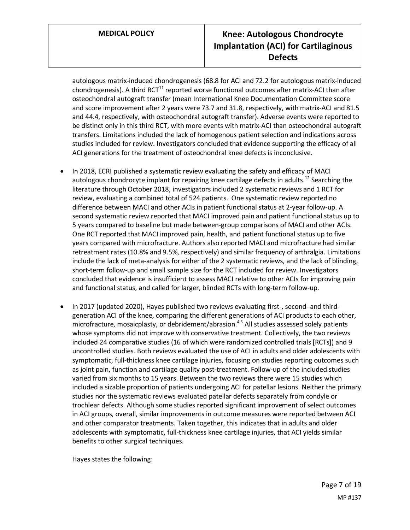## **MEDICAL POLICY Knee: Autologous Chondrocyte Implantation (ACI) for Cartilaginous Defects**

autologous matrix-induced chondrogenesis (68.8 for ACI and 72.2 for autologous matrix-induced chondrogenesis). A third  $RCT^{11}$  reported worse functional outcomes after matrix-ACI than after osteochondral autograft transfer (mean International Knee Documentation Committee score and score improvement after 2 years were 73.7 and 31.8, respectively, with matrix-ACI and 81.5 and 44.4, respectively, with osteochondral autograft transfer). Adverse events were reported to be distinct only in this third RCT, with more events with matrix-ACI than osteochondral autograft transfers. Limitations included the lack of homogenous patient selection and indications across studies included for review. Investigators concluded that evidence supporting the efficacy of all ACI generations for the treatment of osteochondral knee defects is inconclusive.

- In 2018, ECRI published a systematic review evaluating the safety and efficacy of MACI autologous chondrocyte implant for repairing knee cartilage defects in adults.<sup>12</sup> Searching the literature through October 2018, investigators included 2 systematic reviews and 1 RCT for review, evaluating a combined total of 524 patients. One systematic review reported no difference between MACI and other ACIs in patient functional status at 2-year follow-up. A second systematic review reported that MACI improved pain and patient functional status up to 5 years compared to baseline but made between-group comparisons of MACI and other ACIs. One RCT reported that MACI improved pain, health, and patient functional status up to five years compared with microfracture. Authors also reported MACI and microfracture had similar retreatment rates (10.8% and 9.5%, respectively) and similar frequency of arthralgia. Limitations include the lack of meta-analysis for either of the 2 systematic reviews, and the lack of blinding, short-term follow-up and small sample size for the RCT included for review. Investigators concluded that evidence is insufficient to assess MACI relative to other ACIs for improving pain and functional status, and called for larger, blinded RCTs with long-term follow-up.
- In 2017 (updated 2020), Hayes published two reviews evaluating first-, second- and thirdgeneration ACI of the knee, comparing the different generations of ACI products to each other, microfracture, mosaicplasty, or debridement/abrasion.<sup>4,5</sup> All studies assessed solely patients whose symptoms did not improve with conservative treatment. Collectively, the two reviews included 24 comparative studies (16 of which were randomized controlled trials [RCTs]) and 9 uncontrolled studies. Both reviews evaluated the use of ACI in adults and older adolescents with symptomatic, full-thickness knee cartilage injuries, focusing on studies reporting outcomes such as joint pain, function and cartilage quality post-treatment. Follow-up of the included studies varied from six months to 15 years. Between the two reviews there were 15 studies which included a sizable proportion of patients undergoing ACI for patellar lesions. Neither the primary studies nor the systematic reviews evaluated patellar defects separately from condyle or trochlear defects. Although some studies reported significant improvement of select outcomes in ACI groups, overall, similar improvements in outcome measures were reported between ACI and other comparator treatments. Taken together, this indicates that in adults and older adolescents with symptomatic, full-thickness knee cartilage injuries, that ACI yields similar benefits to other surgical techniques.

Hayes states the following: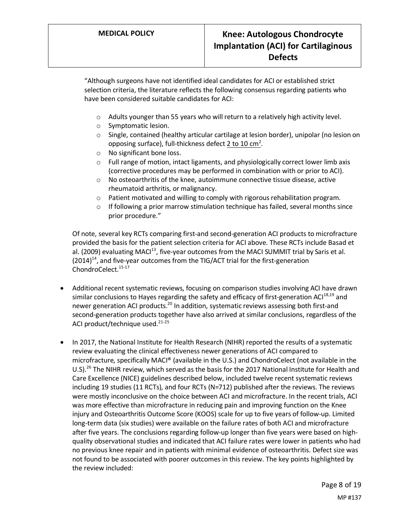"Although surgeons have not identified ideal candidates for ACI or established strict selection criteria, the literature reflects the following consensus regarding patients who have been considered suitable candidates for ACI:

- o Adults younger than 55 years who will return to a relatively high activity level.
- o Symptomatic lesion.
- <span id="page-7-0"></span> $\circ$  Single, contained (healthy articular cartilage at lesion border), unipolar (no lesion on opposing surface), full-thickness defect  $2$  to  $10 \text{ cm}^2$ .
- o No significant bone loss.
- $\circ$  Full range of motion, intact ligaments, and physiologically correct lower limb axis (corrective procedures may be performed in combination with or prior to ACI).
- o No osteoarthritis of the knee, autoimmune connective tissue disease, active rheumatoid arthritis, or malignancy.
- o Patient motivated and willing to comply with rigorous rehabilitation program.
- $\circ$  If following a prior marrow stimulation technique has failed, several months since prior procedure."

Of note, several key RCTs comparing first-and second-generation ACI products to microfracture provided the basis for the patient selection criteria for ACI above. These RCTs include Basad et al. (2009) evaluating MAC $I<sup>13</sup>$ , five-year outcomes from the MACI SUMMIT trial by Saris et al.  $(2014)^{14}$ , and five-year outcomes from the TIG/ACT trial for the first-generation ChondroCelect.<sup>15-17</sup>

- Additional recent systematic reviews, focusing on comparison studies involving ACI have drawn similar conclusions to Hayes regarding the safety and efficacy of first-generation ACI<sup>18,19</sup> and newer generation ACI products.<sup>20</sup> In addition, systematic reviews assessing both first-and second-generation products together have also arrived at similar conclusions, regardless of the ACI product/technique used.<sup>21-25</sup>
- In 2017, the National Institute for Health Research (NIHR) reported the results of a systematic review evaluating the clinical effectiveness newer generations of ACI compared to microfracture, specifically MACI® (available in the U.S.) and ChondroCelect (not available in the U.S).<sup>26</sup> The NIHR review, which served as the basis for the 2017 National Institute for Health and Care Excellence (NICE) guidelines described below, included twelve recent systematic reviews including 19 studies (11 RCTs), and four RCTs (N=712) published after the reviews. The reviews were mostly inconclusive on the choice between ACI and microfracture. In the recent trials, ACI was more effective than microfracture in reducing pain and improving function on the Knee injury and Osteoarthritis Outcome Score (KOOS) scale for up to five years of follow-up. Limited long-term data (six studies) were available on the failure rates of both ACI and microfracture after five years. The conclusions regarding follow-up longer than five years were based on highquality observational studies and indicated that ACI failure rates were lower in patients who had no previous knee repair and in patients with minimal evidence of osteoarthritis. Defect size was not found to be associated with poorer outcomes in this review. The key points highlighted by the review included: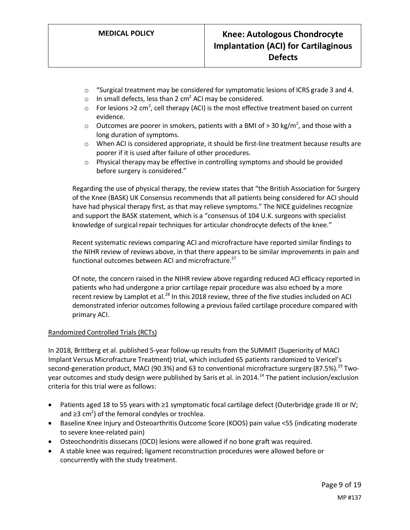- $\circ$  "Surgical treatment may be considered for symptomatic lesions of ICRS grade 3 and 4.
- o In small defects, less than 2  $\text{cm}^2$  ACI may be considered.
- $\circ$  For lesions >2 cm<sup>2</sup>, cell therapy (ACI) is the most effective treatment based on current evidence.
- $\circ$  Outcomes are poorer in smokers, patients with a BMI of > 30 kg/m<sup>2</sup>, and those with a long duration of symptoms.
- o When ACI is considered appropriate, it should be first-line treatment because results are poorer if it is used after failure of other procedures.
- o Physical therapy may be effective in controlling symptoms and should be provided before surgery is considered."

Regarding the use of physical therapy, the review states that "the British Association for Surgery of the Knee (BASK) UK Consensus recommends that all patients being considered for ACI should have had physical therapy first, as that may relieve symptoms." The NICE guidelines recognize and support the BASK statement, which is a "consensus of 104 U.K. surgeons with specialist knowledge of surgical repair techniques for articular chondrocyte defects of the knee."

Recent systematic reviews comparing ACI and microfracture have reported similar findings to the NIHR review of reviews above, in that there appears to be similar improvements in pain and functional outcomes between ACI and microfracture.<sup>27</sup>

Of note, the concern raised in the NIHR review above regarding reduced ACI efficacy reported in patients who had undergone a prior cartilage repair procedure was also echoed by a more recent review by Lamplot et al.<sup>28</sup> In this 2018 review, three of the five studies included on ACI demonstrated inferior outcomes following a previous failed cartilage procedure compared with primary ACI.

#### Randomized Controlled Trials (RCTs)

In 2018, Brittberg et al. published 5-year follow-up results from the SUMMIT (Superiority of MACI Implant Versus Microfracture Treatment) trial, which included 65 patients randomized to Vericel's second-generation product, MACI (90.3%) and 63 to conventional microfracture surgery (87.5%).<sup>29</sup> Twoyear outcomes and study design were published by Saris et al. in 2014.<sup>14</sup> The patient inclusion/exclusion criteria for this trial were as follows:

- Patients aged 18 to 55 years with ≥1 symptomatic focal cartilage defect (Outerbridge grade III or IV; and ≥3 cm<sup>2</sup>) of the femoral condyles or trochlea.
- Baseline Knee Injury and Osteoarthritis Outcome Score (KOOS) pain value <55 (indicating moderate to severe knee-related pain)
- Osteochondritis dissecans (OCD) lesions were allowed if no bone graft was required.
- A stable knee was required; ligament reconstruction procedures were allowed before or concurrently with the study treatment.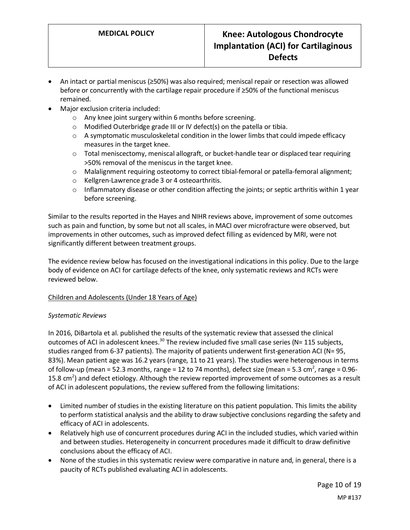- An intact or partial meniscus (≥50%) was also required; meniscal repair or resection was allowed before or concurrently with the cartilage repair procedure if ≥50% of the functional meniscus remained.
- Major exclusion criteria included:
	- o Any knee joint surgery within 6 months before screening.
	- o Modified Outerbridge grade III or IV defect(s) on the patella or tibia.
	- o A symptomatic musculoskeletal condition in the lower limbs that could impede efficacy measures in the target knee.
	- $\circ$  Total meniscectomy, meniscal allograft, or bucket-handle tear or displaced tear requiring >50% removal of the meniscus in the target knee.
	- o Malalignment requiring osteotomy to correct tibial-femoral or patella-femoral alignment;
	- o Kellgren-Lawrence grade 3 or 4 osteoarthritis.
	- $\circ$  Inflammatory disease or other condition affecting the joints; or septic arthritis within 1 year before screening.

Similar to the results reported in the Hayes and NIHR reviews above, improvement of some outcomes such as pain and function, by some but not all scales, in MACI over microfracture were observed, but improvements in other outcomes, such as improved defect filling as evidenced by MRI, were not significantly different between treatment groups.

The evidence review below has focused on the investigational indications in this policy. Due to the large body of evidence on ACI for cartilage defects of the knee, only systematic reviews and RCTs were reviewed below.

#### Children and Adolescents (Under 18 Years of Age)

#### *Systematic Reviews*

In 2016, DiBartola et al. published the results of the systematic review that assessed the clinical outcomes of ACI in adolescent knees.<sup>30</sup> The review included five small case series (N= 115 subjects, studies ranged from 6-37 patients). The majority of patients underwent first-generation ACI (N= 95, 83%). Mean patient age was 16.2 years (range, 11 to 21 years). The studies were heterogenous in terms of follow-up (mean = 52.3 months, range = 12 to 74 months), defect size (mean = 5.3 cm<sup>2</sup>, range = 0.96-15.8 cm<sup>2</sup>) and defect etiology. Although the review reported improvement of some outcomes as a result of ACI in adolescent populations, the review suffered from the following limitations:

- Limited number of studies in the existing literature on this patient population. This limits the ability to perform statistical analysis and the ability to draw subjective conclusions regarding the safety and efficacy of ACI in adolescents.
- Relatively high use of concurrent procedures during ACI in the included studies, which varied within and between studies. Heterogeneity in concurrent procedures made it difficult to draw definitive conclusions about the efficacy of ACI.
- None of the studies in this systematic review were comparative in nature and, in general, there is a paucity of RCTs published evaluating ACI in adolescents.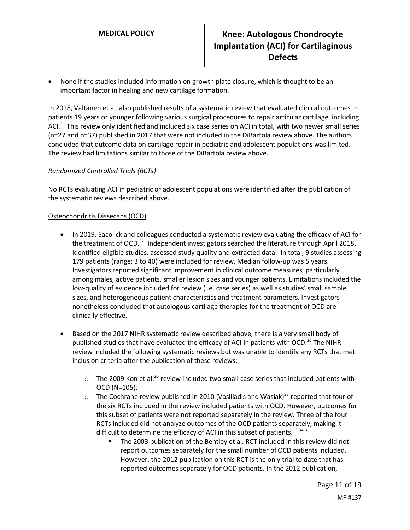• None if the studies included information on growth plate closure, which is thought to be an important factor in healing and new cartilage formation.

In 2018, Valtanen et al. also published results of a systematic review that evaluated clinical outcomes in patients 19 years or younger following various surgical procedures to repair articular cartilage, including ACI.<sup>31</sup> This review only identified and included six case series on ACI in total, with two newer small series (n=27 and n=37) published in 2017 that were not included in the DiBartola review above. The authors concluded that outcome data on cartilage repair in pediatric and adolescent populations was limited. The review had limitations similar to those of the DiBartola review above.

#### *Randomized Controlled Trials (RCTs)*

No RCTs evaluating ACI in pediatric or adolescent populations were identified after the publication of the systematic reviews described above.

#### Osteochondritis Dissecans (OCD)

- In 2019, Sacolick and colleagues conducted a systematic review evaluating the efficacy of ACI for the treatment of OCD.<sup>32</sup> Independent investigators searched the literature through April 2018, identified eligible studies, assessed study quality and extracted data. In total, 9 studies assessing 179 patients (range: 3 to 40) were included for review. Median follow-up was 5 years. Investigators reported significant improvement in clinical outcome measures, particularly among males, active patients, smaller lesion sizes and younger patients. Limitations included the low-quality of evidence included for review (i.e. case series) as well as studies' small sample sizes, and heterogeneous patient characteristics and treatment parameters. Investigators nonetheless concluded that autologous cartilage therapies for the treatment of OCD are clinically effective.
- Based on the 2017 NIHR systematic review described above, there is a very small body of published studies that have evaluated the efficacy of ACI in patients with OCD.<sup>26</sup> The NIHR review included the following systematic reviews but was unable to identify any RCTs that met inclusion criteria after the publication of these reviews:
	- $\circ$  The 2009 Kon et al.<sup>20</sup> review included two small case series that included patients with OCD (N=105).
	- $\circ$  The Cochrane review published in 2010 (Vasiliadis and Wasiak)<sup>33</sup> reported that four of the six RCTs included in the review included patients with OCD. However, outcomes for this subset of patients were not reported separately in the review. Three of the four RCTs included did not analyze outcomes of the OCD patients separately, making it difficult to determine the efficacy of ACI in this subset of patients.<sup>13,34,35</sup>
		- The 2003 publication of the Bentley et al. RCT included in this review did not report outcomes separately for the small number of OCD patients included. However, the 2012 publication on this RCT is the only trial to date that has reported outcomes separately for OCD patients. In the 2012 publication,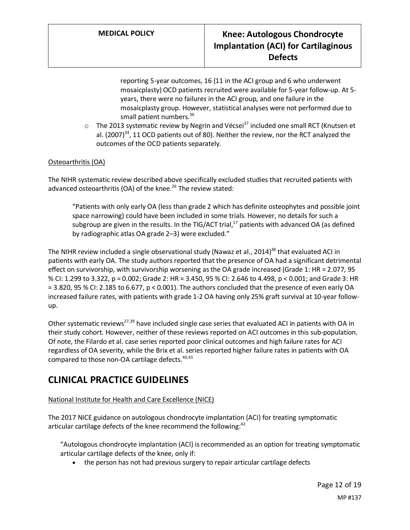reporting 5-year outcomes, 16 (11 in the ACI group and 6 who underwent mosaicplasty) OCD patients recruited were available for 5-year follow-up. At 5 years, there were no failures in the ACI group, and one failure in the mosaicplasty group. However, statistical analyses were not performed due to small patient numbers.<sup>36</sup>

 $\circ$  The 2013 systematic review by Negrin and Vécsei<sup>37</sup> included one small RCT (Knutsen et al.  $(2007)^{34}$ , 11 OCD patients out of 80). Neither the review, nor the RCT analyzed the outcomes of the OCD patients separately.

#### Osteoarthritis (OA)

The NIHR systematic review described above specifically excluded studies that recruited patients with advanced osteoarthritis (OA) of the knee.<sup>26</sup> The review stated:

"Patients with only early OA (less than grade 2 which has definite osteophytes and possible joint space narrowing) could have been included in some trials. However, no details for such a subgroup are given in the results. In the TIG/ACT trial, $^{17}$  patients with advanced OA (as defined by radiographic atlas OA grade 2–3) were excluded."

The NIHR review included a single observational study (Nawaz et al., 2014)<sup>38</sup> that evaluated ACI in patients with early OA. The study authors reported that the presence of OA had a significant detrimental effect on survivorship, with survivorship worsening as the OA grade increased (Grade 1: HR = 2.077, 95 % CI: 1.299 to 3.322, p = 0.002; Grade 2: HR = 3.450, 95 % CI: 2.646 to 4.498, p < 0.001; and Grade 3: HR = 3.820, 95 % CI: 2.185 to 6.677, p < 0.001). The authors concluded that the presence of even early OA increased failure rates, with patients with grade 1-2 OA having only 25% graft survival at 10-year followup.

Other systematic reviews<sup>27,39</sup> have included single case series that evaluated ACI in patients with OA in their study cohort. However, neither of these reviews reported on ACI outcomes in this sub-population. Of note, the Filardo et al. case series reported poor clinical outcomes and high failure rates for ACI regardless of OA severity, while the Brix et al. series reported higher failure rates in patients with OA compared to those non-OA cartilage defects.<sup>40,41</sup>

### **CLINICAL PRACTICE GUIDELINES**

#### National Institute for Health and Care Excellence (NICE)

The 2017 NICE guidance on autologous chondrocyte implantation (ACI) for treating symptomatic articular cartilage defects of the knee recommend the following: $42$ 

"Autologous chondrocyte implantation (ACI) is recommended as an option for treating symptomatic articular cartilage defects of the knee, only if:

• the person has not had previous surgery to repair articular cartilage defects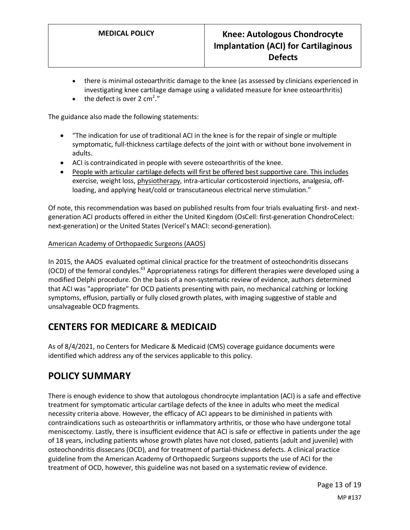- there is minimal osteoarthritic damage to the knee (as assessed by clinicians experienced in investigating knee cartilage damage using a validated measure for knee osteoarthritis)
- the defect is over 2 cm<sup>2</sup>."

The guidance also made the following statements:

- "The indication for use of traditional ACI in the knee is for the repair of single or multiple symptomatic, full-thickness cartilage defects of the joint with or without bone involvement in adults.
- ACI is contraindicated in people with severe osteoarthritis of the knee.
- People with articular cartilage defects will first be offered best supportive care. This includes exercise, weight loss, physiotherapy, intra-articular corticosteroid injections, analgesia, offloading, and applying heat/cold or transcutaneous electrical nerve stimulation."

Of note, this recommendation was based on published results from four trials evaluating first- and nextgeneration ACI products offered in either the United Kingdom (OsCell: first-generation ChondroCelect: next-generation) or the United States (Vericel's MACI: second-generation).

#### American Academy of Orthopaedic Surgeons (AAOS)

In 2015, the AAOS evaluated optimal clinical practice for the treatment of osteochondritis dissecans (OCD) of the femoral condyles.43 Appropriateness ratings for different therapies were developed using a modified Delphi procedure. On the basis of a non-systematic review of evidence, authors determined that ACI was "appropriate" for OCD patients presenting with pain, no mechanical catching or locking symptoms, effusion, partially or fully closed growth plates, with imaging suggestive of stable and unsalvageable OCD fragments.

### **CENTERS FOR MEDICARE & MEDICAID**

As of 8/4/2021, no Centers for Medicare & Medicaid (CMS) coverage guidance documents were identified which address any of the services applicable to this policy.

### <span id="page-12-0"></span>**POLICY SUMMARY**

There is enough evidence to show that autologous chondrocyte implantation (ACI) is a safe and effective treatment for symptomatic articular cartilage defects of the knee in adults who meet the medical necessity criteria above. However, the efficacy of ACI appears to be diminished in patients with contraindications such as osteoarthritis or inflammatory arthritis, or those who have undergone total meniscectomy. Lastly, there is insufficient evidence that ACI is safe or effective in patients under the age of 18 years, including patients whose growth plates have not closed, patients (adult and juvenile) with osteochondritis dissecans (OCD), and for treatment of partial-thickness defects. A clinical practice guideline from the American Academy of Orthopaedic Surgeons supports the use of ACI for the treatment of OCD, however, this guideline was not based on a systematic review of evidence.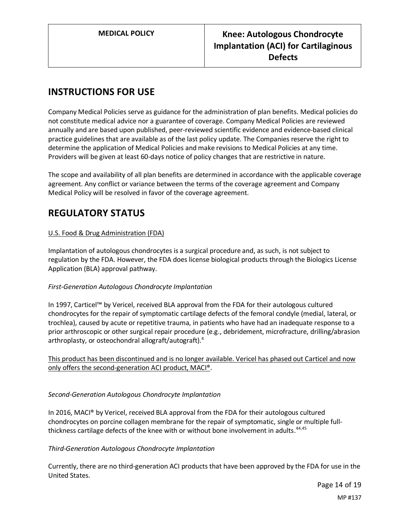# **INSTRUCTIONS FOR USE**

Company Medical Policies serve as guidance for the administration of plan benefits. Medical policies do not constitute medical advice nor a guarantee of coverage. Company Medical Policies are reviewed annually and are based upon published, peer-reviewed scientific evidence and evidence-based clinical practice guidelines that are available as of the last policy update. The Companies reserve the right to determine the application of Medical Policies and make revisions to Medical Policies at any time. Providers will be given at least 60-days notice of policy changes that are restrictive in nature.

The scope and availability of all plan benefits are determined in accordance with the applicable coverage agreement. Any conflict or variance between the terms of the coverage agreement and Company Medical Policy will be resolved in favor of the coverage agreement.

### **REGULATORY STATUS**

#### U.S. Food & Drug Administration (FDA)

Implantation of autologous chondrocytes is a surgical procedure and, as such, is not subject to regulation by the FDA. However, the FDA does license biological products through the Biologics License Application (BLA) approval pathway.

#### *First-Generation Autologous Chondrocyte Implantation*

In 1997, Carticel™ by Vericel, received BLA approval from the FDA for their autologous cultured chondrocytes for the repair of symptomatic cartilage defects of the femoral condyle (medial, lateral, or trochlea), caused by acute or repetitive trauma, in patients who have had an inadequate response to a prior arthroscopic or other surgical repair procedure (e.g., debridement, microfracture, drilling/abrasion arthroplasty, or osteochondral allograft/autograft).<sup>4</sup>

This product has been discontinued and is no longer available. Vericel has phased out Carticel and now only offers the second-generation ACI product, MACI®.

#### *Second-Generation Autologous Chondrocyte Implantation*

In 2016, MACI® by Vericel, received BLA approval from the FDA for their autologous cultured chondrocytes on porcine collagen membrane for the repair of symptomatic, single or multiple fullthickness cartilage defects of the knee with or without bone involvement in adults.<sup>44,45</sup>

#### *Third-Generation Autologous Chondrocyte Implantation*

Currently, there are no third-generation ACI products that have been approved by the FDA for use in the United States.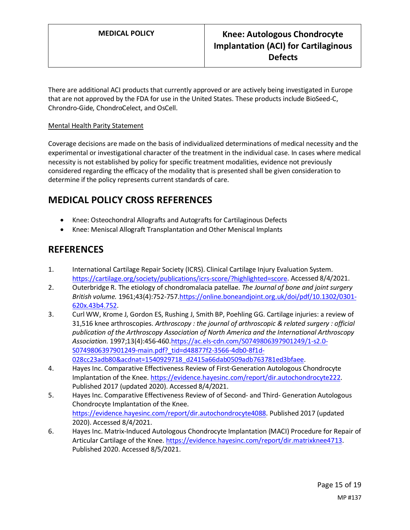There are additional ACI products that currently approved or are actively being investigated in Europe that are not approved by the FDA for use in the United States. These products include BioSeed-C, Chrondro-Gide, ChondroCelect, and OsCell.

#### Mental Health Parity Statement

Coverage decisions are made on the basis of individualized determinations of medical necessity and the experimental or investigational character of the treatment in the individual case. In cases where medical necessity is not established by policy for specific treatment modalities, evidence not previously considered regarding the efficacy of the modality that is presented shall be given consideration to determine if the policy represents current standards of care.

### <span id="page-14-0"></span>**MEDICAL POLICY CROSS REFERENCES**

- Knee: Osteochondral Allografts and Autografts for Cartilaginous Defects
- Knee: Meniscal Allograft Transplantation and Other Meniscal Implants

### **REFERENCES**

- 1. International Cartilage Repair Society (ICRS). Clinical Cartilage Injury Evaluation System. [https://cartilage.org/society/publications/icrs-score/?highlighted=score.](https://cartilage.org/society/publications/icrs-score/?highlighted=score) Accessed 8/4/2021.
- 2. Outerbridge R. The etiology of chondromalacia patellae. *The Journal of bone and joint surgery British volume.* 1961;43(4):752-757[.https://online.boneandjoint.org.uk/doi/pdf/10.1302/0301-](https://online.boneandjoint.org.uk/doi/pdf/10.1302/0301-620x.43b4.752) [620x.43b4.752.](https://online.boneandjoint.org.uk/doi/pdf/10.1302/0301-620x.43b4.752)
- 3. Curl WW, Krome J, Gordon ES, Rushing J, Smith BP, Poehling GG. Cartilage injuries: a review of 31,516 knee arthroscopies. *Arthroscopy : the journal of arthroscopic & related surgery : official publication of the Arthroscopy Association of North America and the International Arthroscopy Association.* 1997;13(4):456-460[.https://ac.els-cdn.com/S0749806397901249/1-s2.0-](https://ac.els-cdn.com/S0749806397901249/1-s2.0-S0749806397901249-main.pdf?_tid=d48877f2-3566-4db0-8f1d-028cc23adb80&acdnat=1540929718_d2415a66dab0509adb763781ed3bfaee) [S0749806397901249-main.pdf?\\_tid=d48877f2-3566-4db0-8f1d-](https://ac.els-cdn.com/S0749806397901249/1-s2.0-S0749806397901249-main.pdf?_tid=d48877f2-3566-4db0-8f1d-028cc23adb80&acdnat=1540929718_d2415a66dab0509adb763781ed3bfaee)[028cc23adb80&acdnat=1540929718\\_d2415a66dab0509adb763781ed3bfaee.](https://ac.els-cdn.com/S0749806397901249/1-s2.0-S0749806397901249-main.pdf?_tid=d48877f2-3566-4db0-8f1d-028cc23adb80&acdnat=1540929718_d2415a66dab0509adb763781ed3bfaee)
- 4. Hayes Inc. Comparative Effectiveness Review of First-Generation Autologous Chondrocyte Implantation of the Knee. [https://evidence.hayesinc.com/report/dir.autochondrocyte222.](https://evidence.hayesinc.com/report/dir.autochondrocyte222) Published 2017 (updated 2020). Accessed 8/4/2021.
- 5. Hayes Inc. Comparative Effectiveness Review of of Second- and Third- Generation Autologous Chondrocyte Implantation of the Knee. [https://evidence.hayesinc.com/report/dir.autochondrocyte4088.](https://evidence.hayesinc.com/report/dir.autochondrocyte4088) Published 2017 (updated 2020). Accessed 8/4/2021.
- 6. Hayes Inc. Matrix-Induced Autologous Chondrocyte Implantation (MACI) Procedure for Repair of Articular Cartilage of the Knee. [https://evidence.hayesinc.com/report/dir.matrixknee4713.](https://evidence.hayesinc.com/report/dir.matrixknee4713) Published 2020. Accessed 8/5/2021.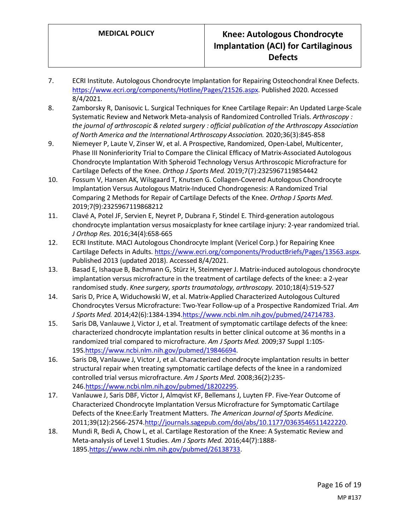- 7. ECRI Institute. Autologous Chondrocyte Implantation for Repairing Osteochondral Knee Defects. [https://www.ecri.org/components/Hotline/Pages/21526.aspx.](https://www.ecri.org/components/Hotline/Pages/21526.aspx) Published 2020. Accessed 8/4/2021.
- 8. Zamborsky R, Danisovic L. Surgical Techniques for Knee Cartilage Repair: An Updated Large-Scale Systematic Review and Network Meta-analysis of Randomized Controlled Trials. *Arthroscopy : the journal of arthroscopic & related surgery : official publication of the Arthroscopy Association of North America and the International Arthroscopy Association.* 2020;36(3):845-858
- 9. Niemeyer P, Laute V, Zinser W, et al. A Prospective, Randomized, Open-Label, Multicenter, Phase III Noninferiority Trial to Compare the Clinical Efficacy of Matrix-Associated Autologous Chondrocyte Implantation With Spheroid Technology Versus Arthroscopic Microfracture for Cartilage Defects of the Knee. *Orthop J Sports Med.* 2019;7(7):2325967119854442
- 10. Fossum V, Hansen AK, Wilsgaard T, Knutsen G. Collagen-Covered Autologous Chondrocyte Implantation Versus Autologous Matrix-Induced Chondrogenesis: A Randomized Trial Comparing 2 Methods for Repair of Cartilage Defects of the Knee. *Orthop J Sports Med.*  2019;7(9):2325967119868212
- 11. Clavé A, Potel JF, Servien E, Neyret P, Dubrana F, Stindel E. Third-generation autologous chondrocyte implantation versus mosaicplasty for knee cartilage injury: 2-year randomized trial. *J Orthop Res.* 2016;34(4):658-665
- 12. ECRI Institute. MACI Autologous Chondrocyte Implant (Vericel Corp.) for Repairing Knee Cartilage Defects in Adults. [https://www.ecri.org/components/ProductBriefs/Pages/13563.aspx.](https://www.ecri.org/components/ProductBriefs/Pages/13563.aspx) Published 2013 (updated 2018). Accessed 8/4/2021.
- 13. Basad E, Ishaque B, Bachmann G, Stürz H, Steinmeyer J. Matrix-induced autologous chondrocyte implantation versus microfracture in the treatment of cartilage defects of the knee: a 2-year randomised study. *Knee surgery, sports traumatology, arthroscopy.* 2010;18(4):519-527
- 14. Saris D, Price A, Widuchowski W, et al. Matrix-Applied Characterized Autologous Cultured Chondrocytes Versus Microfracture: Two-Year Follow-up of a Prospective Randomized Trial. *Am J Sports Med.* 2014;42(6):1384-1394[.https://www.ncbi.nlm.nih.gov/pubmed/24714783.](https://www.ncbi.nlm.nih.gov/pubmed/24714783)
- 15. Saris DB, Vanlauwe J, Victor J, et al. Treatment of symptomatic cartilage defects of the knee: characterized chondrocyte implantation results in better clinical outcome at 36 months in a randomized trial compared to microfracture. *Am J Sports Med.* 2009;37 Suppl 1:10S-19S[.https://www.ncbi.nlm.nih.gov/pubmed/19846694.](https://www.ncbi.nlm.nih.gov/pubmed/19846694)
- 16. Saris DB, Vanlauwe J, Victor J, et al. Characterized chondrocyte implantation results in better structural repair when treating symptomatic cartilage defects of the knee in a randomized controlled trial versus microfracture. *Am J Sports Med.* 2008;36(2):235- 246[.https://www.ncbi.nlm.nih.gov/pubmed/18202295.](https://www.ncbi.nlm.nih.gov/pubmed/18202295)
- 17. Vanlauwe J, Saris DBF, Victor J, Almqvist KF, Bellemans J, Luyten FP. Five-Year Outcome of Characterized Chondrocyte Implantation Versus Microfracture for Symptomatic Cartilage Defects of the Knee:Early Treatment Matters. *The American Journal of Sports Medicine.*  2011;39(12):2566-2574[.http://journals.sagepub.com/doi/abs/10.1177/0363546511422220.](http://journals.sagepub.com/doi/abs/10.1177/0363546511422220)
- 18. Mundi R, Bedi A, Chow L, et al. Cartilage Restoration of the Knee: A Systematic Review and Meta-analysis of Level 1 Studies. *Am J Sports Med.* 2016;44(7):1888- 1895[.https://www.ncbi.nlm.nih.gov/pubmed/26138733.](https://www.ncbi.nlm.nih.gov/pubmed/26138733)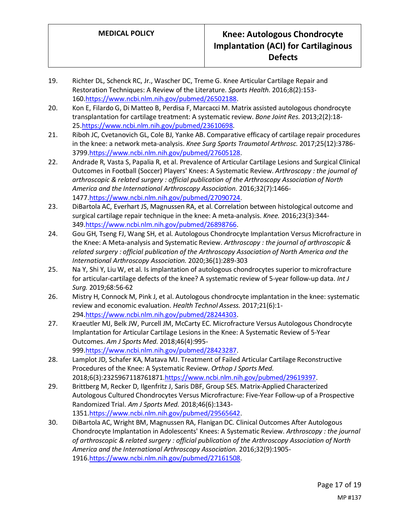- 19. Richter DL, Schenck RC, Jr., Wascher DC, Treme G. Knee Articular Cartilage Repair and Restoration Techniques: A Review of the Literature. *Sports Health.* 2016;8(2):153- 160[.https://www.ncbi.nlm.nih.gov/pubmed/26502188.](https://www.ncbi.nlm.nih.gov/pubmed/26502188)
- 20. Kon E, Filardo G, Di Matteo B, Perdisa F, Marcacci M. Matrix assisted autologous chondrocyte transplantation for cartilage treatment: A systematic review. *Bone Joint Res.* 2013;2(2):18- 25[.https://www.ncbi.nlm.nih.gov/pubmed/23610698.](https://www.ncbi.nlm.nih.gov/pubmed/23610698)
- 21. Riboh JC, Cvetanovich GL, Cole BJ, Yanke AB. Comparative efficacy of cartilage repair procedures in the knee: a network meta-analysis. *Knee Surg Sports Traumatol Arthrosc.* 2017;25(12):3786- 3799[.https://www.ncbi.nlm.nih.gov/pubmed/27605128.](https://www.ncbi.nlm.nih.gov/pubmed/27605128)
- 22. Andrade R, Vasta S, Papalia R, et al. Prevalence of Articular Cartilage Lesions and Surgical Clinical Outcomes in Football (Soccer) Players' Knees: A Systematic Review. *Arthroscopy : the journal of arthroscopic & related surgery : official publication of the Arthroscopy Association of North America and the International Arthroscopy Association.* 2016;32(7):1466- 1477[.https://www.ncbi.nlm.nih.gov/pubmed/27090724.](https://www.ncbi.nlm.nih.gov/pubmed/27090724)
- 23. DiBartola AC, Everhart JS, Magnussen RA, et al. Correlation between histological outcome and surgical cartilage repair technique in the knee: A meta-analysis. *Knee.* 2016;23(3):344- 349[.https://www.ncbi.nlm.nih.gov/pubmed/26898766.](https://www.ncbi.nlm.nih.gov/pubmed/26898766)
- 24. Gou GH, Tseng FJ, Wang SH, et al. Autologous Chondrocyte Implantation Versus Microfracture in the Knee: A Meta-analysis and Systematic Review. *Arthroscopy : the journal of arthroscopic & related surgery : official publication of the Arthroscopy Association of North America and the International Arthroscopy Association.* 2020;36(1):289-303
- 25. Na Y, Shi Y, Liu W, et al. Is implantation of autologous chondrocytes superior to microfracture for articular-cartilage defects of the knee? A systematic review of 5-year follow-up data. *Int J Surg.* 2019;68:56-62
- 26. Mistry H, Connock M, Pink J, et al. Autologous chondrocyte implantation in the knee: systematic review and economic evaluation. *Health Technol Assess.* 2017;21(6):1- 294[.https://www.ncbi.nlm.nih.gov/pubmed/28244303.](https://www.ncbi.nlm.nih.gov/pubmed/28244303)
- 27. Kraeutler MJ, Belk JW, Purcell JM, McCarty EC. Microfracture Versus Autologous Chondrocyte Implantation for Articular Cartilage Lesions in the Knee: A Systematic Review of 5-Year Outcomes. *Am J Sports Med.* 2018;46(4):995- 999[.https://www.ncbi.nlm.nih.gov/pubmed/28423287.](https://www.ncbi.nlm.nih.gov/pubmed/28423287)
- 28. Lamplot JD, Schafer KA, Matava MJ. Treatment of Failed Articular Cartilage Reconstructive Procedures of the Knee: A Systematic Review. *Orthop J Sports Med.*  2018;6(3):2325967118761871[.https://www.ncbi.nlm.nih.gov/pubmed/29619397.](https://www.ncbi.nlm.nih.gov/pubmed/29619397)
- 29. Brittberg M, Recker D, Ilgenfritz J, Saris DBF, Group SES. Matrix-Applied Characterized Autologous Cultured Chondrocytes Versus Microfracture: Five-Year Follow-up of a Prospective Randomized Trial. *Am J Sports Med.* 2018;46(6):1343- 1351[.https://www.ncbi.nlm.nih.gov/pubmed/29565642.](https://www.ncbi.nlm.nih.gov/pubmed/29565642)
- 30. DiBartola AC, Wright BM, Magnussen RA, Flanigan DC. Clinical Outcomes After Autologous Chondrocyte Implantation in Adolescents' Knees: A Systematic Review. *Arthroscopy : the journal of arthroscopic & related surgery : official publication of the Arthroscopy Association of North America and the International Arthroscopy Association.* 2016;32(9):1905- 1916[.https://www.ncbi.nlm.nih.gov/pubmed/27161508.](https://www.ncbi.nlm.nih.gov/pubmed/27161508)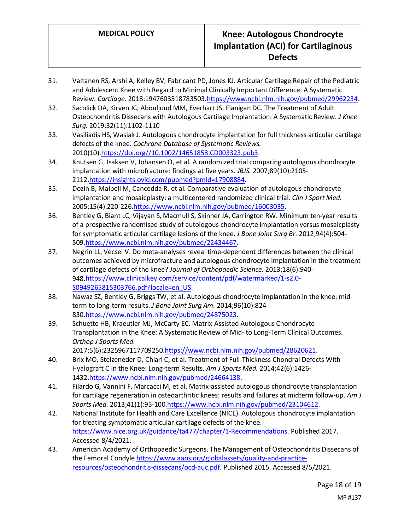- 31. Valtanen RS, Arshi A, Kelley BV, Fabricant PD, Jones KJ. Articular Cartilage Repair of the Pediatric and Adolescent Knee with Regard to Minimal Clinically Important Difference: A Systematic Review. *Cartilage.* 2018:1947603518783503[.https://www.ncbi.nlm.nih.gov/pubmed/29962234.](https://www.ncbi.nlm.nih.gov/pubmed/29962234)
- 32. Sacolick DA, Kirven JC, Abouljoud MM, Everhart JS, Flanigan DC. The Treatment of Adult Osteochondritis Dissecans with Autologous Cartilage Implantation: A Systematic Review. *J Knee Surg.* 2019;32(11):1102-1110
- 33. Vasiliadis HS, Wasiak J. Autologous chondrocyte implantation for full thickness articular cartilage defects of the knee. *Cochrane Database of Systematic Reviews.*  2010(10)[.https://doi.org//10.1002/14651858.CD003323.pub3.](https://doi.org/10.1002/14651858.CD003323.pub3)
- 34. Knutsen G, Isaksen V, Johansen O, et al. A randomized trial comparing autologous chondrocyte implantation with microfracture: findings at five years. *JBJS.* 2007;89(10):2105- 2112[.https://insights.ovid.com/pubmed?pmid=17908884.](https://insights.ovid.com/pubmed?pmid=17908884)
- 35. Dozin B, Malpeli M, Cancedda R, et al. Comparative evaluation of autologous chondrocyte implantation and mosaicplasty: a multicentered randomized clinical trial. *Clin J Sport Med.*  2005;15(4):220-226[.https://www.ncbi.nlm.nih.gov/pubmed/16003035.](https://www.ncbi.nlm.nih.gov/pubmed/16003035)
- 36. Bentley G, Biant LC, Vijayan S, Macmull S, Skinner JA, Carrington RW. Minimum ten-year results of a prospective randomised study of autologous chondrocyte implantation versus mosaicplasty for symptomatic articular cartilage lesions of the knee. *J Bone Joint Surg Br.* 2012;94(4):504- 509[.https://www.ncbi.nlm.nih.gov/pubmed/22434467.](https://www.ncbi.nlm.nih.gov/pubmed/22434467)
- 37. Negrin LL, Vécsei V. Do meta-analyses reveal time-dependent differences between the clinical outcomes achieved by microfracture and autologous chondrocyte implantation in the treatment of cartilage defects of the knee? *Journal of Orthopaedic Science.* 2013;18(6):940- 948[.https://www.clinicalkey.com/service/content/pdf/watermarked/1-s2.0-](https://www.clinicalkey.com/service/content/pdf/watermarked/1-s2.0-S0949265815303766.pdf?locale=en_US) [S0949265815303766.pdf?locale=en\\_US.](https://www.clinicalkey.com/service/content/pdf/watermarked/1-s2.0-S0949265815303766.pdf?locale=en_US)
- 38. Nawaz SZ, Bentley G, Briggs TW, et al. Autologous chondrocyte implantation in the knee: midterm to long-term results. *J Bone Joint Surg Am.* 2014;96(10):824- 830[.https://www.ncbi.nlm.nih.gov/pubmed/24875023.](https://www.ncbi.nlm.nih.gov/pubmed/24875023)
- 39. Schuette HB, Kraeutler MJ, McCarty EC. Matrix-Assisted Autologous Chondrocyte Transplantation in the Knee: A Systematic Review of Mid- to Long-Term Clinical Outcomes. *Orthop J Sports Med.*  2017;5(6):2325967117709250[.https://www.ncbi.nlm.nih.gov/pubmed/28620621.](https://www.ncbi.nlm.nih.gov/pubmed/28620621)
- 40. Brix MO, Stelzeneder D, Chiari C, et al. Treatment of Full-Thickness Chondral Defects With Hyalograft C in the Knee: Long-term Results. *Am J Sports Med.* 2014;42(6):1426- 1432[.https://www.ncbi.nlm.nih.gov/pubmed/24664138.](https://www.ncbi.nlm.nih.gov/pubmed/24664138)
- 41. Filardo G, Vannini F, Marcacci M, et al. Matrix-assisted autologous chondrocyte transplantation for cartilage regeneration in osteoarthritic knees: results and failures at midterm follow-up. *Am J Sports Med.* 2013;41(1):95-10[0.https://www.ncbi.nlm.nih.gov/pubmed/23104612.](https://www.ncbi.nlm.nih.gov/pubmed/23104612)
- 42. National Institute for Health and Care Excellence (NICE). Autologous chondrocyte implantation for treating symptomatic articular cartilage defects of the knee. [https://www.nice.org.uk/guidance/ta477/chapter/1-Recommendations.](https://www.nice.org.uk/guidance/ta477/chapter/1-Recommendations) Published 2017. Accessed 8/4/2021.
- 43. American Academy of Orthopaedic Surgeons. The Management of Osteochondritis Dissecans of the Femoral Condyl[e https://www.aaos.org/globalassets/quality-and-practice](https://www.aaos.org/globalassets/quality-and-practice-resources/osteochondritis-dissecans/ocd-auc.pdf)[resources/osteochondritis-dissecans/ocd-auc.pdf.](https://www.aaos.org/globalassets/quality-and-practice-resources/osteochondritis-dissecans/ocd-auc.pdf) Published 2015. Accessed 8/5/2021.